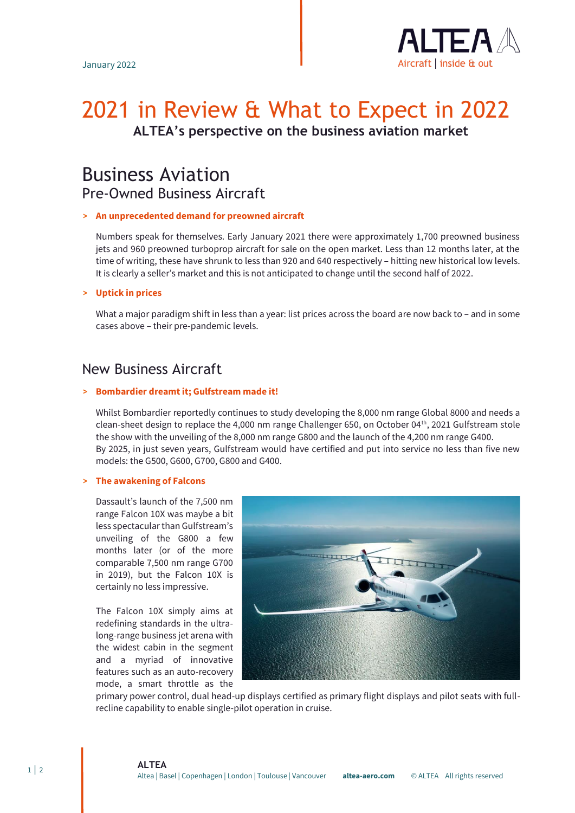

# 2021 in Review & What to Expect in 2022 **ALTEA's perspective on the business aviation market**

# Business Aviation Pre-Owned Business Aircraft

## **> An unprecedented demand for preowned aircraft**

Numbers speak for themselves. Early January 2021 there were approximately 1,700 preowned business jets and 960 preowned turboprop aircraft for sale on the open market. Less than 12 months later, at the time of writing, these have shrunk to less than 920 and 640 respectively – hitting new historical low levels. It is clearly a seller's market and this is not anticipated to change until the second half of 2022.

### **> Uptick in prices**

What a major paradigm shift in less than a year: list prices across the board are now back to – and in some cases above – their pre-pandemic levels.

# New Business Aircraft

### **> Bombardier dreamt it; Gulfstream made it!**

Whilst Bombardier reportedly continues to study developing the 8,000 nm range Global 8000 and needs a clean-sheet design to replace the 4,000 nm range Challenger 650, on October 04<sup>th</sup>, 2021 Gulfstream stole the show with the unveiling of the 8,000 nm range G800 and the launch of the 4,200 nm range G400. By 2025, in just seven years, Gulfstream would have certified and put into service no less than five new models: the G500, G600, G700, G800 and G400.

## **> The awakening of Falcons**

Dassault's launch of the 7,500 nm range Falcon 10X was maybe a bit less spectacular than Gulfstream's unveiling of the G800 a few months later (or of the more comparable 7,500 nm range G700 in 2019), but the Falcon 10X is certainly no less impressive.

The Falcon 10X simply aims at redefining standards in the ultralong-range business jet arena with the widest cabin in the segment and a myriad of innovative features such as an auto-recovery mode, a smart throttle as the



primary power control, dual head-up displays certified as primary flight displays and pilot seats with fullrecline capability to enable single-pilot operation in cruise.